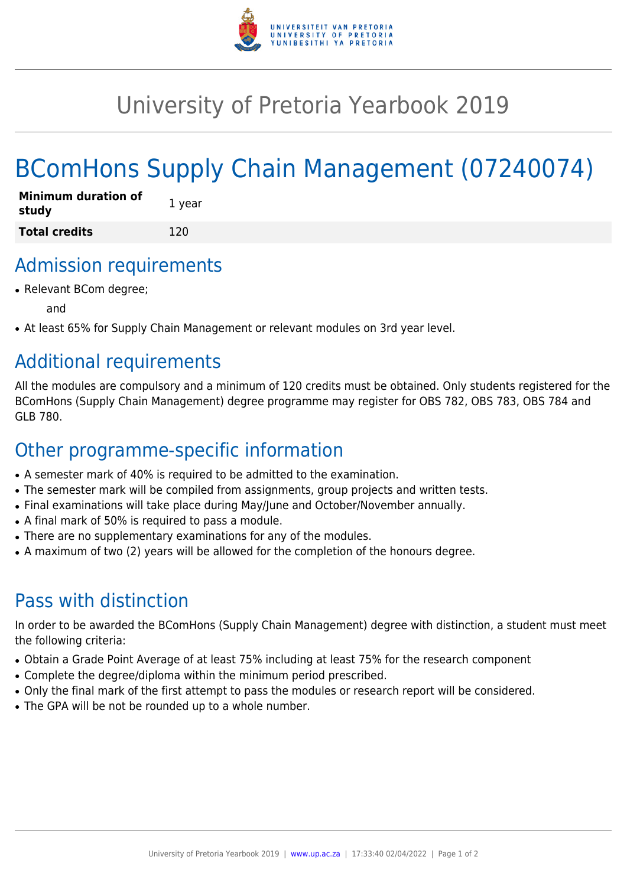

## University of Pretoria Yearbook 2019

# BComHons Supply Chain Management (07240074)

| <b>Minimum duration of</b><br>study | 1 year |
|-------------------------------------|--------|
| <b>Total credits</b>                | 120    |

#### Admission requirements

• Relevant BCom degree;

and

• At least 65% for Supply Chain Management or relevant modules on 3rd year level.

### Additional requirements

All the modules are compulsory and a minimum of 120 credits must be obtained. Only students registered for the BComHons (Supply Chain Management) degree programme may register for OBS 782, OBS 783, OBS 784 and GLB 780.

### Other programme-specific information

- A semester mark of 40% is required to be admitted to the examination.
- The semester mark will be compiled from assignments, group projects and written tests.
- Final examinations will take place during May/June and October/November annually.
- A final mark of 50% is required to pass a module.
- There are no supplementary examinations for any of the modules.
- A maximum of two (2) years will be allowed for the completion of the honours degree.

## Pass with distinction

In order to be awarded the BComHons (Supply Chain Management) degree with distinction, a student must meet the following criteria:

- Obtain a Grade Point Average of at least 75% including at least 75% for the research component
- Complete the degree/diploma within the minimum period prescribed.
- Only the final mark of the first attempt to pass the modules or research report will be considered.
- The GPA will be not be rounded up to a whole number.